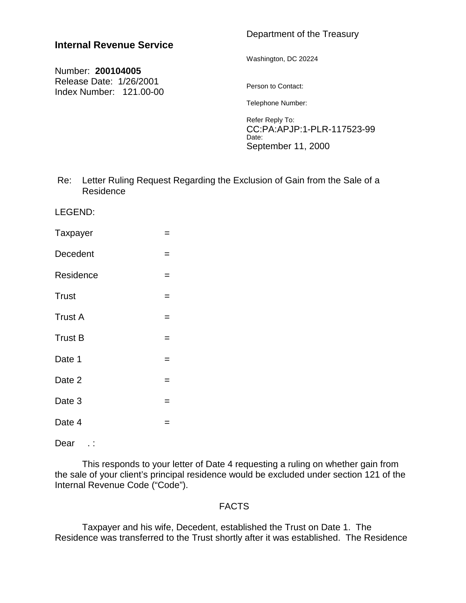# **Internal Revenue Service**

## Number: **200104005** Release Date: 1/26/2001 Index Number: 121.00-00

# Department of the Treasury

Washington, DC 20224

Person to Contact:

Telephone Number:

Refer Reply To: CC:PA:APJP:1-PLR-117523-99 Date: September 11, 2000

 Re: Letter Ruling Request Regarding the Exclusion of Gain from the Sale of a Residence

LEGEND:

Taxpayer = = Decedent = Residence = =  $Trust$   $=$  $Trust A$   $=$  $Trust B$   $=$ Date 1  $=$ Date 2  $=$ Date 3  $=$ Date 4  $=$ 

Dear .:

This responds to your letter of Date 4 requesting a ruling on whether gain from the sale of your client's principal residence would be excluded under section 121 of the Internal Revenue Code ("Code").

## FACTS

Taxpayer and his wife, Decedent, established the Trust on Date 1. The Residence was transferred to the Trust shortly after it was established. The Residence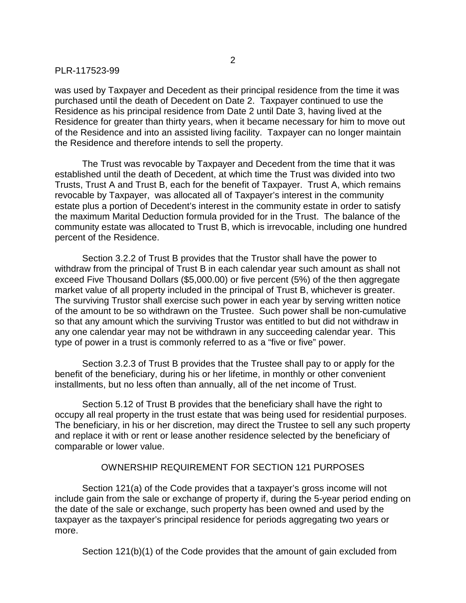was used by Taxpayer and Decedent as their principal residence from the time it was purchased until the death of Decedent on Date 2. Taxpayer continued to use the Residence as his principal residence from Date 2 until Date 3, having lived at the Residence for greater than thirty years, when it became necessary for him to move out of the Residence and into an assisted living facility. Taxpayer can no longer maintain the Residence and therefore intends to sell the property.

The Trust was revocable by Taxpayer and Decedent from the time that it was established until the death of Decedent, at which time the Trust was divided into two Trusts, Trust A and Trust B, each for the benefit of Taxpayer. Trust A, which remains revocable by Taxpayer, was allocated all of Taxpayer's interest in the community estate plus a portion of Decedent's interest in the community estate in order to satisfy the maximum Marital Deduction formula provided for in the Trust. The balance of the community estate was allocated to Trust B, which is irrevocable, including one hundred percent of the Residence.

Section 3.2.2 of Trust B provides that the Trustor shall have the power to withdraw from the principal of Trust B in each calendar year such amount as shall not exceed Five Thousand Dollars (\$5,000.00) or five percent (5%) of the then aggregate market value of all property included in the principal of Trust B, whichever is greater. The surviving Trustor shall exercise such power in each year by serving written notice of the amount to be so withdrawn on the Trustee. Such power shall be non-cumulative so that any amount which the surviving Trustor was entitled to but did not withdraw in any one calendar year may not be withdrawn in any succeeding calendar year. This type of power in a trust is commonly referred to as a "five or five" power.

Section 3.2.3 of Trust B provides that the Trustee shall pay to or apply for the benefit of the beneficiary, during his or her lifetime, in monthly or other convenient installments, but no less often than annually, all of the net income of Trust.

Section 5.12 of Trust B provides that the beneficiary shall have the right to occupy all real property in the trust estate that was being used for residential purposes. The beneficiary, in his or her discretion, may direct the Trustee to sell any such property and replace it with or rent or lease another residence selected by the beneficiary of comparable or lower value.

### OWNERSHIP REQUIREMENT FOR SECTION 121 PURPOSES

Section 121(a) of the Code provides that a taxpayer's gross income will not include gain from the sale or exchange of property if, during the 5-year period ending on the date of the sale or exchange, such property has been owned and used by the taxpayer as the taxpayer's principal residence for periods aggregating two years or more.

Section 121(b)(1) of the Code provides that the amount of gain excluded from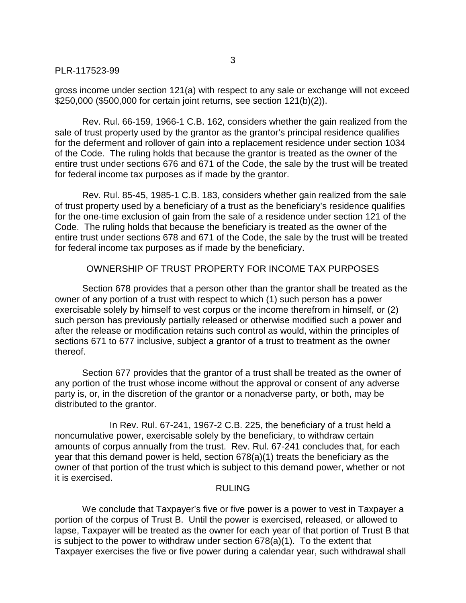gross income under section 121(a) with respect to any sale or exchange will not exceed \$250,000 (\$500,000 for certain joint returns, see section 121(b)(2)).

Rev. Rul. 66-159, 1966-1 C.B. 162, considers whether the gain realized from the sale of trust property used by the grantor as the grantor's principal residence qualifies for the deferment and rollover of gain into a replacement residence under section 1034 of the Code. The ruling holds that because the grantor is treated as the owner of the entire trust under sections 676 and 671 of the Code, the sale by the trust will be treated for federal income tax purposes as if made by the grantor.

Rev. Rul. 85-45, 1985-1 C.B. 183, considers whether gain realized from the sale of trust property used by a beneficiary of a trust as the beneficiary's residence qualifies for the one-time exclusion of gain from the sale of a residence under section 121 of the Code. The ruling holds that because the beneficiary is treated as the owner of the entire trust under sections 678 and 671 of the Code, the sale by the trust will be treated for federal income tax purposes as if made by the beneficiary.

## OWNERSHIP OF TRUST PROPERTY FOR INCOME TAX PURPOSES

Section 678 provides that a person other than the grantor shall be treated as the owner of any portion of a trust with respect to which (1) such person has a power exercisable solely by himself to vest corpus or the income therefrom in himself, or (2) such person has previously partially released or otherwise modified such a power and after the release or modification retains such control as would, within the principles of sections 671 to 677 inclusive, subject a grantor of a trust to treatment as the owner thereof.

Section 677 provides that the grantor of a trust shall be treated as the owner of any portion of the trust whose income without the approval or consent of any adverse party is, or, in the discretion of the grantor or a nonadverse party, or both, may be distributed to the grantor.

In Rev. Rul. 67-241, 1967-2 C.B. 225, the beneficiary of a trust held a noncumulative power, exercisable solely by the beneficiary, to withdraw certain amounts of corpus annually from the trust. Rev. Rul. 67-241 concludes that, for each year that this demand power is held, section 678(a)(1) treats the beneficiary as the owner of that portion of the trust which is subject to this demand power, whether or not it is exercised.

#### RULING

We conclude that Taxpayer's five or five power is a power to vest in Taxpayer a portion of the corpus of Trust B. Until the power is exercised, released, or allowed to lapse, Taxpayer will be treated as the owner for each year of that portion of Trust B that is subject to the power to withdraw under section 678(a)(1). To the extent that Taxpayer exercises the five or five power during a calendar year, such withdrawal shall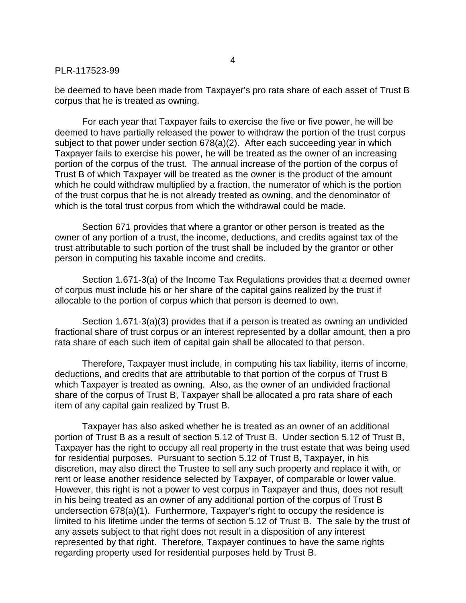be deemed to have been made from Taxpayer's pro rata share of each asset of Trust B corpus that he is treated as owning.

For each year that Taxpayer fails to exercise the five or five power, he will be deemed to have partially released the power to withdraw the portion of the trust corpus subject to that power under section 678(a)(2). After each succeeding year in which Taxpayer fails to exercise his power, he will be treated as the owner of an increasing portion of the corpus of the trust. The annual increase of the portion of the corpus of Trust B of which Taxpayer will be treated as the owner is the product of the amount which he could withdraw multiplied by a fraction, the numerator of which is the portion of the trust corpus that he is not already treated as owning, and the denominator of which is the total trust corpus from which the withdrawal could be made.

Section 671 provides that where a grantor or other person is treated as the owner of any portion of a trust, the income, deductions, and credits against tax of the trust attributable to such portion of the trust shall be included by the grantor or other person in computing his taxable income and credits.

Section 1.671-3(a) of the Income Tax Regulations provides that a deemed owner of corpus must include his or her share of the capital gains realized by the trust if allocable to the portion of corpus which that person is deemed to own.

Section 1.671-3(a)(3) provides that if a person is treated as owning an undivided fractional share of trust corpus or an interest represented by a dollar amount, then a pro rata share of each such item of capital gain shall be allocated to that person.

Therefore, Taxpayer must include, in computing his tax liability, items of income, deductions, and credits that are attributable to that portion of the corpus of Trust B which Taxpayer is treated as owning. Also, as the owner of an undivided fractional share of the corpus of Trust B, Taxpayer shall be allocated a pro rata share of each item of any capital gain realized by Trust B.

Taxpayer has also asked whether he is treated as an owner of an additional portion of Trust B as a result of section 5.12 of Trust B. Under section 5.12 of Trust B, Taxpayer has the right to occupy all real property in the trust estate that was being used for residential purposes. Pursuant to section 5.12 of Trust B, Taxpayer, in his discretion, may also direct the Trustee to sell any such property and replace it with, or rent or lease another residence selected by Taxpayer, of comparable or lower value. However, this right is not a power to vest corpus in Taxpayer and thus, does not result in his being treated as an owner of any additional portion of the corpus of Trust B undersection 678(a)(1). Furthermore, Taxpayer's right to occupy the residence is limited to his lifetime under the terms of section 5.12 of Trust B. The sale by the trust of any assets subject to that right does not result in a disposition of any interest represented by that right. Therefore, Taxpayer continues to have the same rights regarding property used for residential purposes held by Trust B.